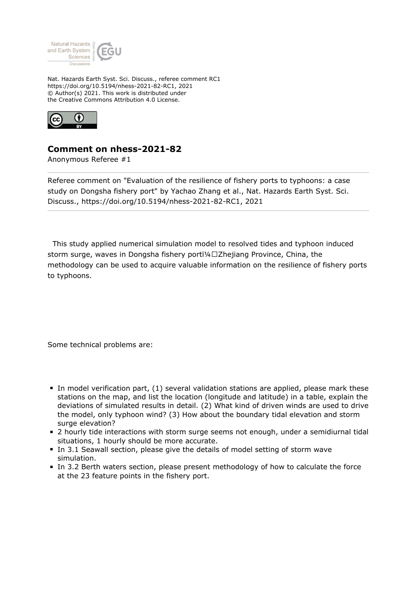

Nat. Hazards Earth Syst. Sci. Discuss., referee comment RC1 https://doi.org/10.5194/nhess-2021-82-RC1, 2021 © Author(s) 2021. This work is distributed under the Creative Commons Attribution 4.0 License.



## **Comment on nhess-2021-82**

Anonymous Referee #1

Referee comment on "Evaluation of the resilience of fishery ports to typhoons: a case study on Dongsha fishery port" by Yachao Zhang et al., Nat. Hazards Earth Syst. Sci. Discuss., https://doi.org/10.5194/nhess-2021-82-RC1, 2021

 This study applied numerical simulation model to resolved tides and typhoon induced storm surge, waves in Dongsha fishery portï¼□Zhejiang Province, China, the methodology can be used to acquire valuable information on the resilience of fishery ports to typhoons.

Some technical problems are:

- In model verification part, (1) several validation stations are applied, please mark these stations on the map, and list the location (longitude and latitude) in a table, explain the deviations of simulated results in detail. (2) What kind of driven winds are used to drive the model, only typhoon wind? (3) How about the boundary tidal elevation and storm surge elevation?
- 2 hourly tide interactions with storm surge seems not enough, under a semidiurnal tidal situations, 1 hourly should be more accurate.
- In 3.1 Seawall section, please give the details of model setting of storm wave simulation.
- In 3.2 Berth waters section, please present methodology of how to calculate the force at the 23 feature points in the fishery port.